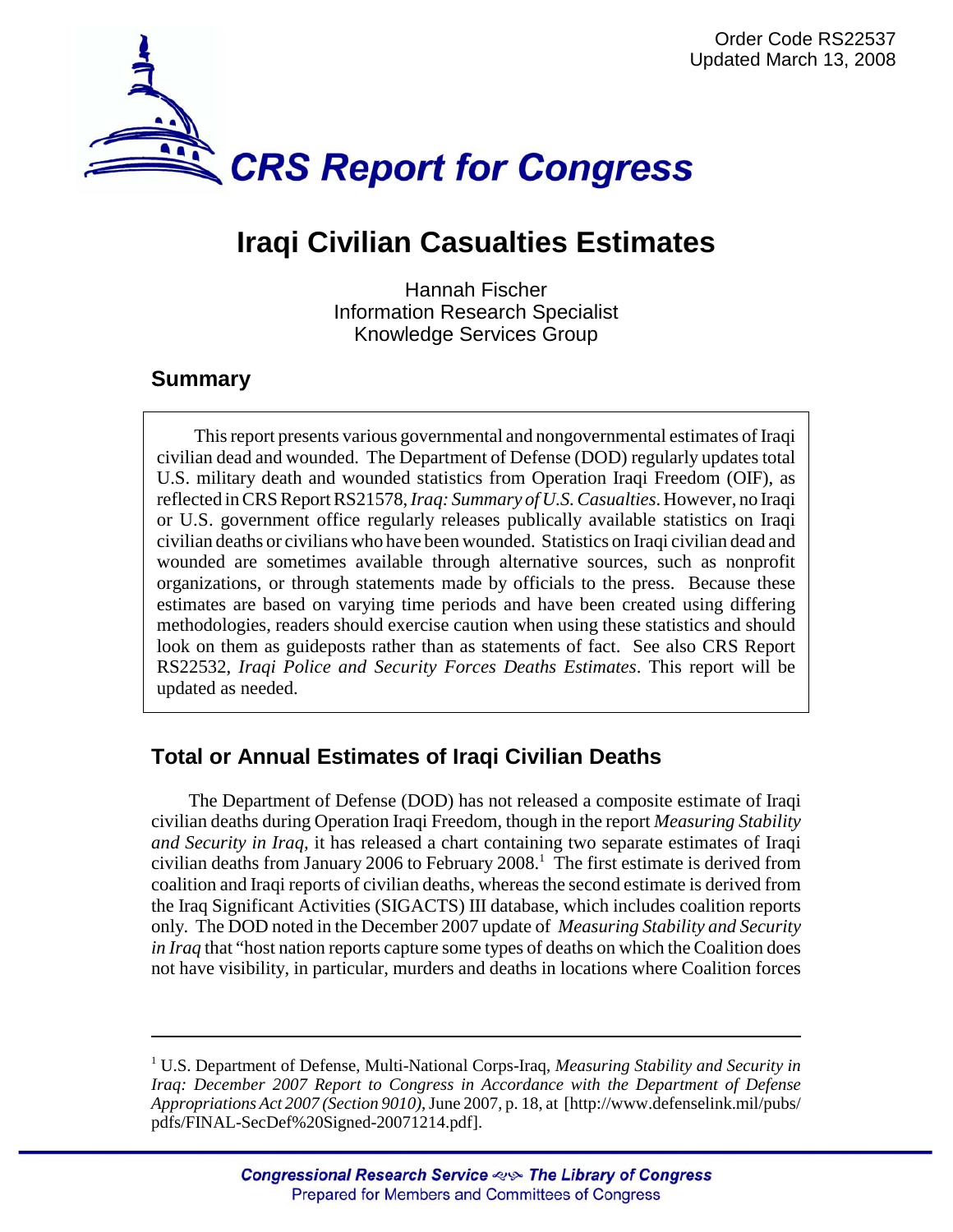

## **Iraqi Civilian Casualties Estimates**

Hannah Fischer Information Research Specialist Knowledge Services Group

## **Summary**

This report presents various governmental and nongovernmental estimates of Iraqi civilian dead and wounded. The Department of Defense (DOD) regularly updates total U.S. military death and wounded statistics from Operation Iraqi Freedom (OIF), as reflected in CRS Report RS21578, *Iraq: Summary of U.S. Casualties*. However, no Iraqi or U.S. government office regularly releases publically available statistics on Iraqi civilian deaths or civilians who have been wounded. Statistics on Iraqi civilian dead and wounded are sometimes available through alternative sources, such as nonprofit organizations, or through statements made by officials to the press. Because these estimates are based on varying time periods and have been created using differing methodologies, readers should exercise caution when using these statistics and should look on them as guideposts rather than as statements of fact. See also CRS Report RS22532, *Iraqi Police and Security Forces Deaths Estimates*. This report will be updated as needed.

## **Total or Annual Estimates of Iraqi Civilian Deaths**

The Department of Defense (DOD) has not released a composite estimate of Iraqi civilian deaths during Operation Iraqi Freedom, though in the report *Measuring Stability and Security in Iraq,* it has released a chart containing two separate estimates of Iraqi civilian deaths from January 2006 to February  $2008$ .<sup>1</sup> The first estimate is derived from coalition and Iraqi reports of civilian deaths, whereas the second estimate is derived from the Iraq Significant Activities (SIGACTS) III database, which includes coalition reports only. The DOD noted in the December 2007 update of *Measuring Stability and Security in Iraq* that "host nation reports capture some types of deaths on which the Coalition does not have visibility, in particular, murders and deaths in locations where Coalition forces

<sup>&</sup>lt;sup>1</sup> U.S. Department of Defense, Multi-National Corps-Iraq, Measuring Stability and Security in *Iraq: December 2007 Report to Congress in Accordance with the Department of Defense Appropriations Act 2007 (Section 9010)*, June 2007, p. 18, at [http://www.defenselink.mil/pubs/ pdfs/FINAL-SecDef%20Signed-20071214.pdf].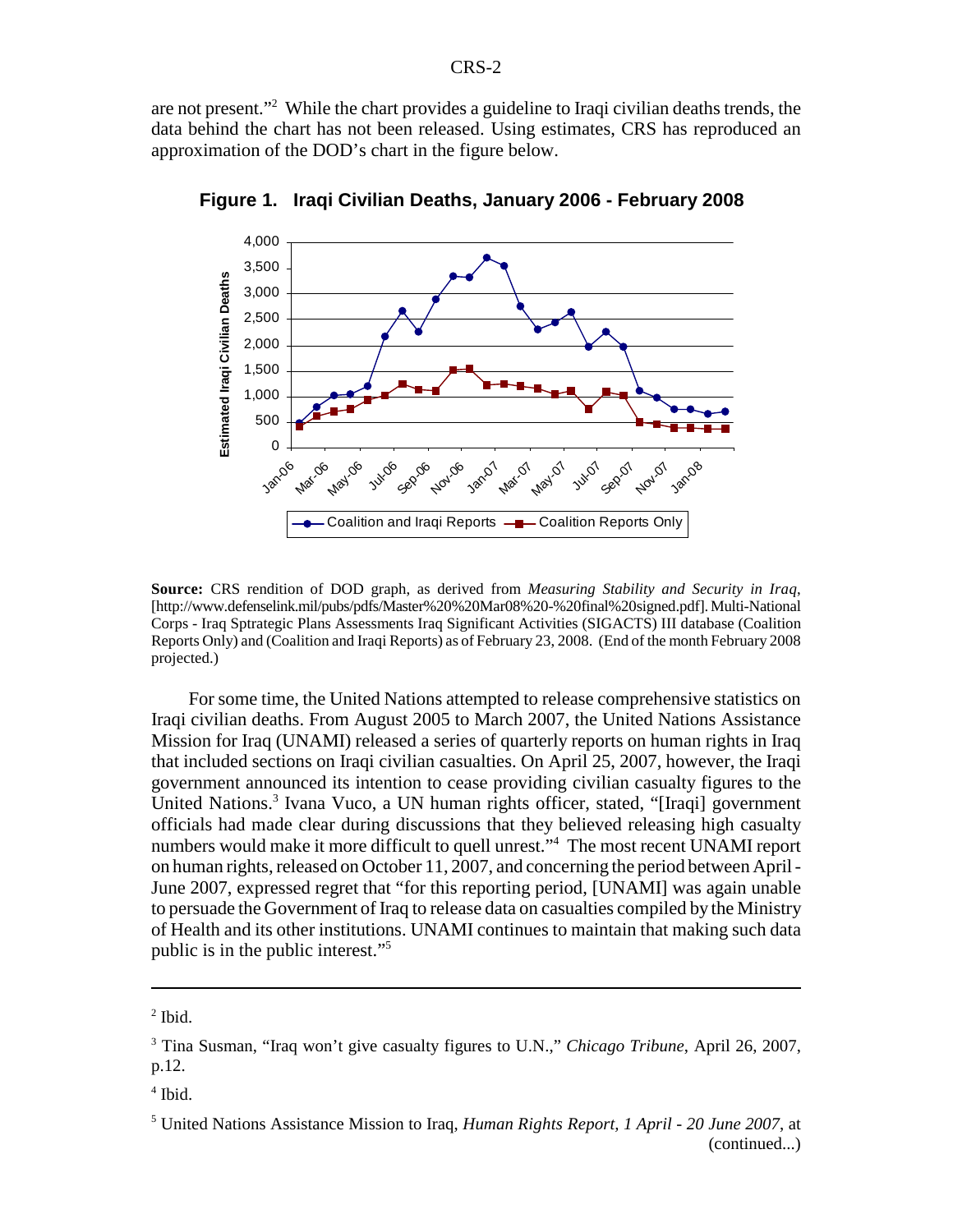are not present."<sup>2</sup> While the chart provides a guideline to Iraqi civilian deaths trends, the data behind the chart has not been released. Using estimates, CRS has reproduced an approximation of the DOD's chart in the figure below.



**Figure 1. Iraqi Civilian Deaths, January 2006 - February 2008**

**Source:** CRS rendition of DOD graph, as derived from *Measuring Stability and Security in Iraq*, [http://www.defenselink.mil/pubs/pdfs/Master%20%20Mar08%20-%20final%20signed.pdf]. Multi-National Corps - Iraq Sptrategic Plans Assessments Iraq Significant Activities (SIGACTS) III database (Coalition Reports Only) and (Coalition and Iraqi Reports) as of February 23, 2008. (End of the month February 2008 projected.)

For some time, the United Nations attempted to release comprehensive statistics on Iraqi civilian deaths. From August 2005 to March 2007, the United Nations Assistance Mission for Iraq (UNAMI) released a series of quarterly reports on human rights in Iraq that included sections on Iraqi civilian casualties. On April 25, 2007, however, the Iraqi government announced its intention to cease providing civilian casualty figures to the United Nations.<sup>3</sup> Ivana Vuco, a UN human rights officer, stated, "[Iraqi] government officials had made clear during discussions that they believed releasing high casualty numbers would make it more difficult to quell unrest."4 The most recent UNAMI report on human rights, released on October 11, 2007, and concerning the period between April - June 2007, expressed regret that "for this reporting period, [UNAMI] was again unable to persuade the Government of Iraq to release data on casualties compiled by the Ministry of Health and its other institutions. UNAMI continues to maintain that making such data public is in the public interest."5

4 Ibid.

 $<sup>2</sup>$  Ibid.</sup>

<sup>3</sup> Tina Susman, "Iraq won't give casualty figures to U.N.," *Chicago Tribune*, April 26, 2007, p.12.

<sup>5</sup> United Nations Assistance Mission to Iraq, *Human Rights Report, 1 April - 20 June 2007*, at (continued...)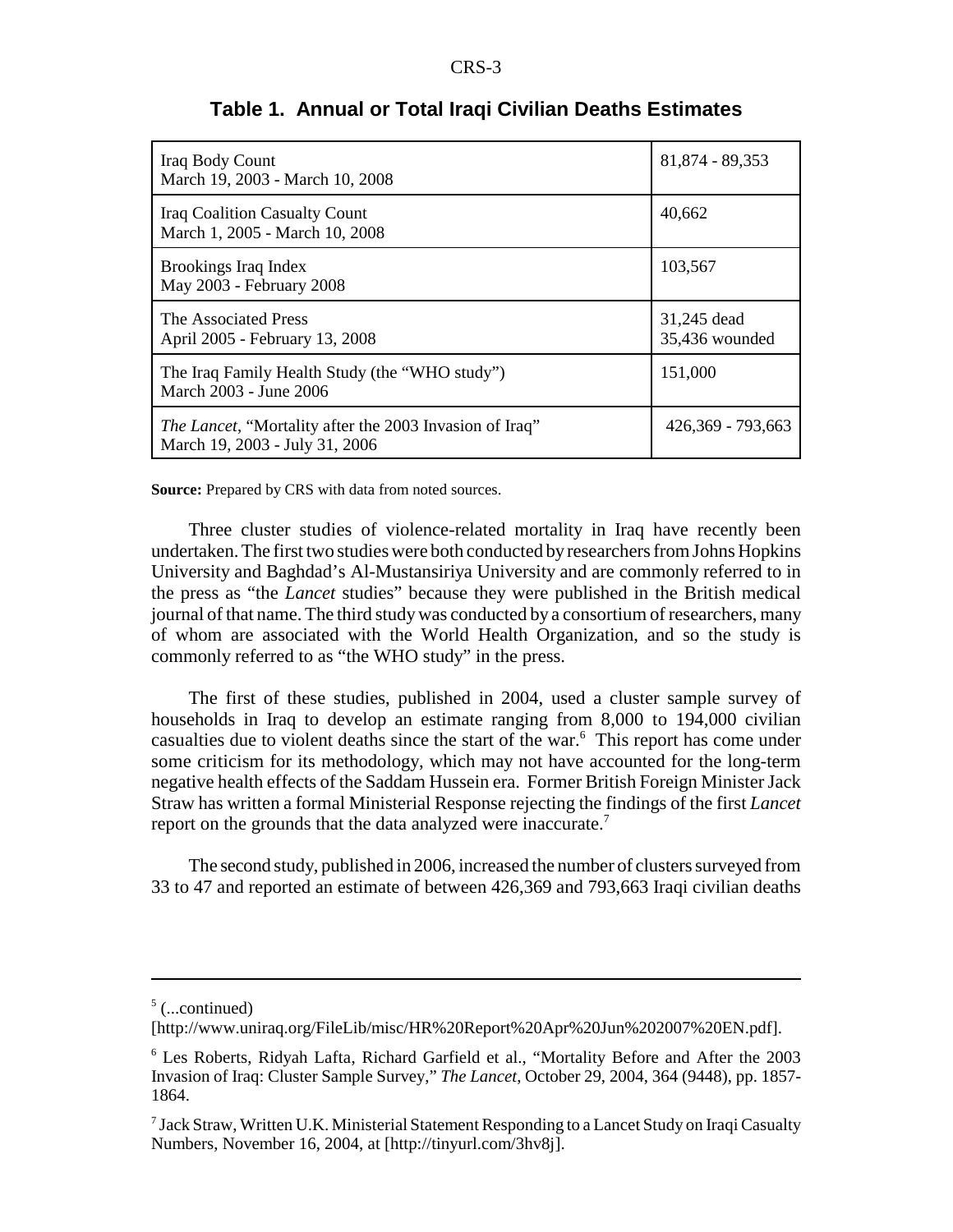| Iraq Body Count<br>March 19, 2003 - March 10, 2008                                                | 81,874 - 89,353               |
|---------------------------------------------------------------------------------------------------|-------------------------------|
| <b>Iraq Coalition Casualty Count</b><br>March 1, 2005 - March 10, 2008                            | 40,662                        |
| Brookings Iraq Index<br>May 2003 - February 2008                                                  | 103,567                       |
| The Associated Press<br>April 2005 - February 13, 2008                                            | 31,245 dead<br>35,436 wounded |
| The Iraq Family Health Study (the "WHO study")<br>March 2003 - June 2006                          | 151,000                       |
| <i>The Lancet</i> , "Mortality after the 2003 Invasion of Iraq"<br>March 19, 2003 - July 31, 2006 | 426,369 - 793,663             |

## **Table 1. Annual or Total Iraqi Civilian Deaths Estimates**

**Source:** Prepared by CRS with data from noted sources.

Three cluster studies of violence-related mortality in Iraq have recently been undertaken. The first two studies were both conducted by researchers from Johns Hopkins University and Baghdad's Al-Mustansiriya University and are commonly referred to in the press as "the *Lancet* studies" because they were published in the British medical journal of that name. The third study was conducted by a consortium of researchers, many of whom are associated with the World Health Organization, and so the study is commonly referred to as "the WHO study" in the press.

The first of these studies, published in 2004, used a cluster sample survey of households in Iraq to develop an estimate ranging from 8,000 to 194,000 civilian casualties due to violent deaths since the start of the war.<sup>6</sup> This report has come under some criticism for its methodology, which may not have accounted for the long-term negative health effects of the Saddam Hussein era. Former British Foreign Minister Jack Straw has written a formal Ministerial Response rejecting the findings of the first *Lancet* report on the grounds that the data analyzed were inaccurate.<sup>7</sup>

The second study, published in 2006, increased the number of clusters surveyed from 33 to 47 and reported an estimate of between 426,369 and 793,663 Iraqi civilian deaths

 $5$  (...continued)

<sup>[</sup>http://www.uniraq.org/FileLib/misc/HR%20Report%20Apr%20Jun%202007%20EN.pdf].

<sup>6</sup> Les Roberts, Ridyah Lafta, Richard Garfield et al., "Mortality Before and After the 2003 Invasion of Iraq: Cluster Sample Survey," *The Lancet*, October 29, 2004, 364 (9448), pp. 1857- 1864.

 $^7$  Jack Straw, Written U.K. Ministerial Statement Responding to a Lancet Study on Iraqi Casualty Numbers, November 16, 2004, at [http://tinyurl.com/3hv8j].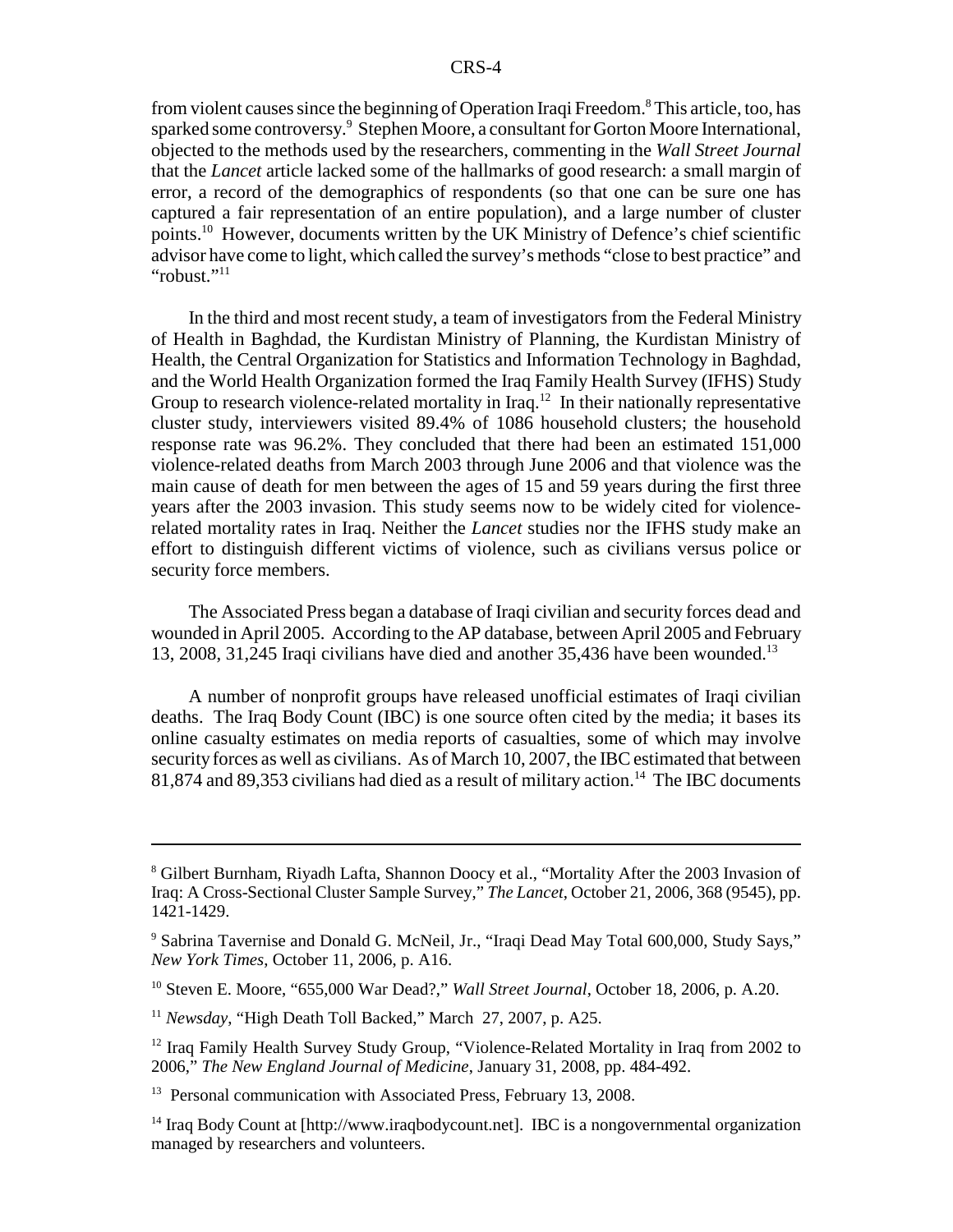from violent causes since the beginning of Operation Iraqi Freedom.<sup>8</sup> This article, too, has sparked some controversy.<sup>9</sup> Stephen Moore, a consultant for Gorton Moore International, objected to the methods used by the researchers, commenting in the *Wall Street Journal* that the *Lancet* article lacked some of the hallmarks of good research: a small margin of error, a record of the demographics of respondents (so that one can be sure one has captured a fair representation of an entire population), and a large number of cluster points.10 However, documents written by the UK Ministry of Defence's chief scientific advisor have come to light, which called the survey's methods "close to best practice" and "robust."<sup>11</sup>

In the third and most recent study, a team of investigators from the Federal Ministry of Health in Baghdad, the Kurdistan Ministry of Planning, the Kurdistan Ministry of Health, the Central Organization for Statistics and Information Technology in Baghdad, and the World Health Organization formed the Iraq Family Health Survey (IFHS) Study Group to research violence-related mortality in Iraq.<sup>12</sup> In their nationally representative cluster study, interviewers visited 89.4% of 1086 household clusters; the household response rate was 96.2%. They concluded that there had been an estimated 151,000 violence-related deaths from March 2003 through June 2006 and that violence was the main cause of death for men between the ages of 15 and 59 years during the first three years after the 2003 invasion. This study seems now to be widely cited for violencerelated mortality rates in Iraq. Neither the *Lancet* studies nor the IFHS study make an effort to distinguish different victims of violence, such as civilians versus police or security force members.

The Associated Press began a database of Iraqi civilian and security forces dead and wounded in April 2005. According to the AP database, between April 2005 and February 13, 2008, 31,245 Iraqi civilians have died and another 35,436 have been wounded.13

A number of nonprofit groups have released unofficial estimates of Iraqi civilian deaths. The Iraq Body Count (IBC) is one source often cited by the media; it bases its online casualty estimates on media reports of casualties, some of which may involve security forces as well as civilians. As of March 10, 2007, the IBC estimated that between 81,874 and 89,353 civilians had died as a result of military action.<sup>14</sup> The IBC documents

<sup>&</sup>lt;sup>8</sup> Gilbert Burnham, Riyadh Lafta, Shannon Doocy et al., "Mortality After the 2003 Invasion of Iraq: A Cross-Sectional Cluster Sample Survey," *The Lancet*, October 21, 2006, 368 (9545), pp. 1421-1429.

<sup>&</sup>lt;sup>9</sup> Sabrina Tavernise and Donald G. McNeil, Jr., "Iraqi Dead May Total 600,000, Study Says," *New York Times*, October 11, 2006, p. A16.

<sup>10</sup> Steven E. Moore, "655,000 War Dead?," *Wall Street Journal*, October 18, 2006, p. A.20.

<sup>11</sup> *Newsday*, "High Death Toll Backed," March 27, 2007, p. A25.

<sup>&</sup>lt;sup>12</sup> Iraq Family Health Survey Study Group, "Violence-Related Mortality in Iraq from 2002 to 2006," *The New England Journal of Medicine*, January 31, 2008, pp. 484-492.

<sup>&</sup>lt;sup>13</sup> Personal communication with Associated Press, February 13, 2008.

 $14$  Iraq Body Count at [http://www.iraqbodycount.net]. IBC is a nongovernmental organization managed by researchers and volunteers.